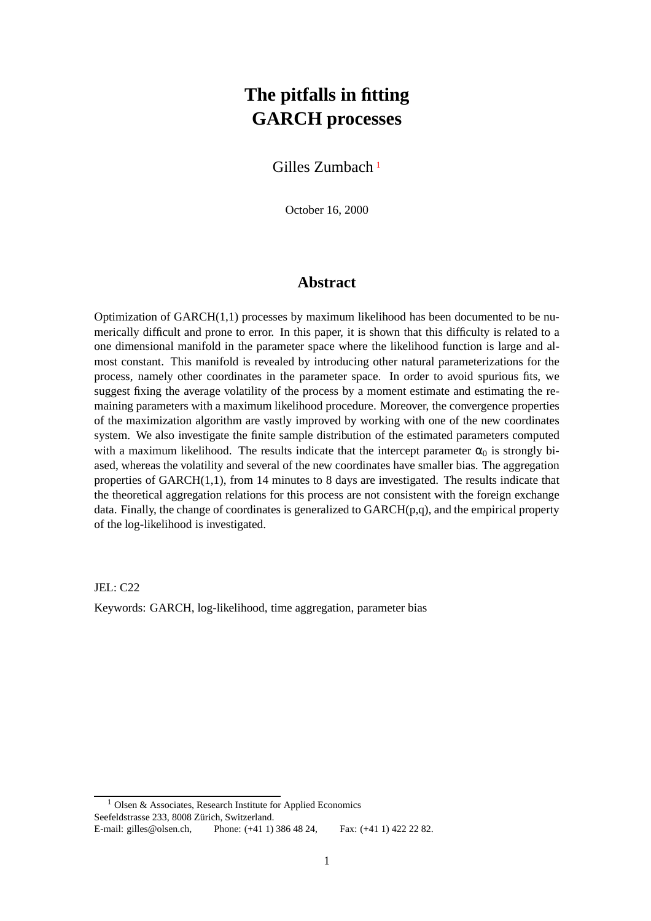# **The pitfalls in fitting GARCH processes**

#### Gilles Zumbach [1](#page-0-0)

October 16, 2000

#### **Abstract**

Optimization of GARCH(1,1) processes by maximum likelihood has been documented to be numerically difficult and prone to error. In this paper, it is shown that this difficulty is related to a one dimensional manifold in the parameter space where the likelihood function is large and almost constant. This manifold is revealed by introducing other natural parameterizations for the process, namely other coordinates in the parameter space. In order to avoid spurious fits, we suggest fixing the average volatility of the process by a moment estimate and estimating the remaining parameters with a maximum likelihood procedure. Moreover, the convergence properties of the maximization algorithm are vastly improved by working with one of the new coordinates system. We also investigate the finite sample distribution of the estimated parameters computed with a maximum likelihood. The results indicate that the intercept parameter  $\alpha_0$  is strongly biased, whereas the volatility and several of the new coordinates have smaller bias. The aggregation properties of GARCH(1,1), from 14 minutes to 8 days are investigated. The results indicate that the theoretical aggregation relations for this process are not consistent with the foreign exchange data. Finally, the change of coordinates is generalized to  $GARCH(p,q)$ , and the empirical property of the log-likelihood is investigated.

JEL: C22

Keywords: GARCH, log-likelihood, time aggregation, parameter bias

Olsen & Associates, Research Institute for Applied Economics

<span id="page-0-0"></span>Seefeldstrasse 233, 8008 Zürich, Switzerland.

E-mail: gilles@olsen.ch, Phone: (+41 1) 386 48 24, Fax: (+41 1) 422 22 82.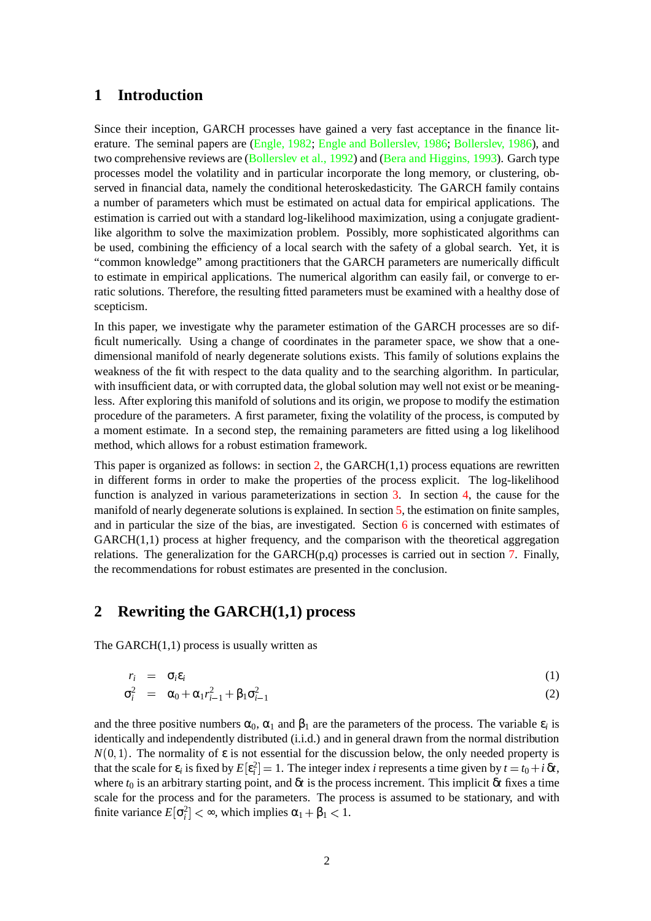#### **1 Introduction**

Since their inception, GARCH processes have gained a very fast acceptance in the finance literature. The seminal papers are [\(Engle,](#page-19-4) 1982; Engle and [Bollerslev,](#page-19-3) 1986; [Bollerslev,](#page-19-2) 1986), and two comprehensive reviews are [\(Bollerslev](#page-19-1) et al., 1992) and (Bera and [Higgins,](#page-19-0) 1993). Garch type processes model the volatility and in particular incorporate the long memory, or clustering, observed in financial data, namely the conditional heteroskedasticity. The GARCH family contains a number of parameters which must be estimated on actual data for empirical applications. The estimation is carried out with a standard log-likelihood maximization, using a conjugate gradientlike algorithm to solve the maximization problem. Possibly, more sophisticated algorithms can be used, combining the efficiency of a local search with the safety of a global search. Yet, it is "common knowledge" among practitioners that the GARCH parameters are numerically difficult to estimate in empirical applications. The numerical algorithm can easily fail, or converge to erratic solutions. Therefore, the resulting fitted parameters must be examined with a healthy dose of scepticism.

In this paper, we investigate why the parameter estimation of the GARCH processes are so difficult numerically. Using a change of coordinates in the parameter space, we show that a onedimensional manifold of nearly degenerate solutions exists. This family of solutions explains the weakness of the fit with respect to the data quality and to the searching algorithm. In particular, with insufficient data, or with corrupted data, the global solution may well not exist or be meaningless. After exploring this manifold of solutions and its origin, we propose to modify the estimation procedure of the parameters. A first parameter, fixing the volatility of the process, is computed by a moment estimate. In a second step, the remaining parameters are fitted using a log likelihood method, which allows for a robust estimation framework.

This paper is organized as follows: in section  $2$ , the GARCH $(1,1)$  process equations are rewritten in different forms in order to make the properties of the process explicit. The log-likelihood function is analyzed in various parameterizations in section [3.](#page-3-0) In section [4,](#page-8-0) the cause for the manifold of nearly degenerate solutions is explained. In section [5,](#page-10-0) the estimation on finite samples, and in particular the size of the bias, are investigated. Section [6](#page-11-0) is concerned with estimates of GARCH(1,1) process at higher frequency, and the comparison with the theoretical aggregation relations. The generalization for the GARCH $(p,q)$  processes is carried out in section [7.](#page-14-0) Finally, the recommendations for robust estimates are presented in the conclusion.

#### <span id="page-1-0"></span>**2 Rewriting the GARCH(1,1) process**

<span id="page-1-1"></span>The GARCH $(1,1)$  process is usually written as

$$
r_i = \sigma_i \varepsilon_i
$$
  
\n
$$
\sigma_i^2 = \alpha_0 + \alpha_1 r_{i-1}^2 + \beta_1 \sigma_{i-1}^2
$$
\n(1)

and the three positive numbers  $\alpha_0$ ,  $\alpha_1$  and  $\beta_1$  are the parameters of the process. The variable  $\varepsilon_i$  is identically and independently distributed (i.i.d.) and in general drawn from the normal distribution  $N(0, 1)$ . The normality of  $\varepsilon$  is not essential for the discussion below, the only needed property is that the scale for  $\varepsilon_i$  is fixed by  $E[\varepsilon_i^2] = 1$ . The integer index *i* represents a time given by  $t = t_0 + i \, \delta t$ , where  $t_0$  is an arbitrary starting point, and  $\delta t$  is the process increment. This implicit  $\delta t$  fixes a time scale for the process and for the parameters. The process is assumed to be stationary, and with finite variance  $E[\sigma_i^2] < \infty$ , which implies  $\alpha_1 + \beta_1 < 1$ .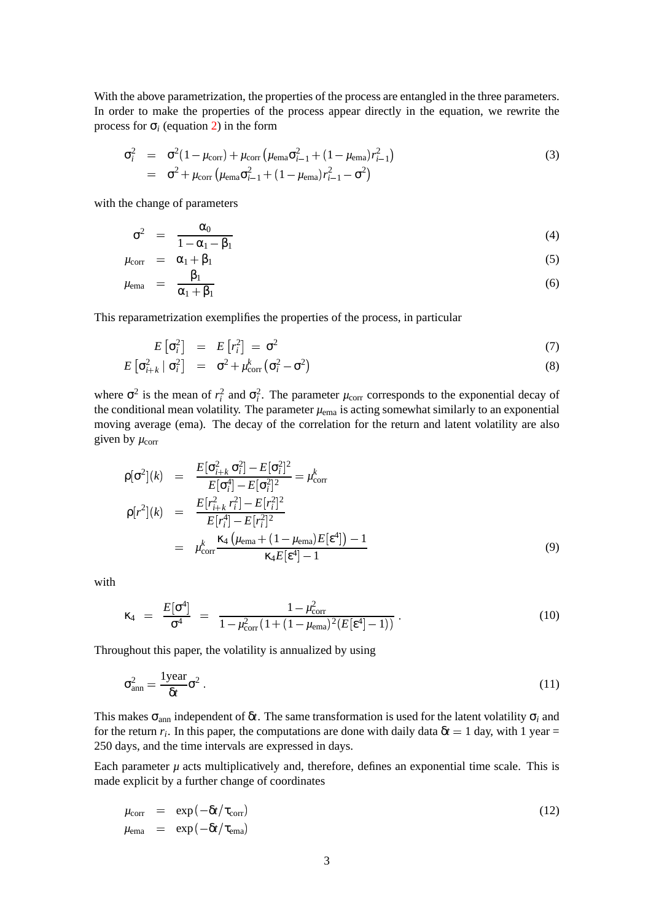With the above parametrization, the properties of the process are entangled in the three parameters. In order to make the properties of the process appear directly in the equation, we rewrite the process for  $\sigma_i$  (equation [2\)](#page-1-1) in the form

$$
\sigma_i^2 = \sigma^2 (1 - \mu_{\text{corr}}) + \mu_{\text{corr}} (\mu_{\text{ema}} \sigma_{i-1}^2 + (1 - \mu_{\text{ema}}) r_{i-1}^2)
$$
\n
$$
= \sigma^2 + \mu_{\text{corr}} (\mu_{\text{ema}} \sigma_{i-1}^2 + (1 - \mu_{\text{ema}}) r_{i-1}^2 - \sigma^2)
$$
\n(3)

<span id="page-2-2"></span><span id="page-2-1"></span>with the change of parameters

$$
\sigma^2 = \frac{\alpha_0}{1 - \alpha_1 - \beta_1} \tag{4}
$$

$$
\mu_{\text{corr}} = \alpha_1 + \beta_1 \tag{5}
$$

$$
\mu_{\text{ema}} = \frac{\beta_1}{\alpha_1 + \beta_1} \tag{6}
$$

<span id="page-2-0"></span>This reparametrization exemplifies the properties of the process, in particular

$$
E\left[\sigma_i^2\right] = E\left[r_i^2\right] = \sigma^2 \tag{7}
$$

$$
E\left[\sigma_{i+k}^2 \mid \sigma_i^2\right] = \sigma^2 + \mu_{\text{corr}}^k \left(\sigma_i^2 - \sigma^2\right)
$$
\n(8)

where  $\sigma^2$  is the mean of  $r_i^2$  and  $\sigma_i^2$ . The parameter  $\mu_{\text{corr}}$  corresponds to the exponential decay of the conditional mean volatility. The parameter  $\mu_{\text{ema}}$  is acting somewhat similarly to an exponential moving average (ema). The decay of the correlation for the return and latent volatility are also given by  $\mu_{\text{corr}}$ 

$$
\rho[\sigma^2](k) = \frac{E[\sigma_{i+k}^2 \sigma_i^2] - E[\sigma_i^2]^2}{E[\sigma_i^4] - E[\sigma_i^2]^2} = \mu_{\text{corr}}^k
$$
\n
$$
\rho[r^2](k) = \frac{E[r_{i+k}^2 r_i^2] - E[r_i^2]^2}{E[r_i^4] - E[r_i^2]^2}
$$
\n
$$
= \mu_{\text{corr}}^k \frac{\kappa_4 (\mu_{\text{ema}} + (1 - \mu_{\text{ema}})E[\epsilon^4]) - 1}{\kappa_4 E[\epsilon^4] - 1}
$$
\n(9)

with

$$
\kappa_4 = \frac{E[\sigma^4]}{\sigma^4} = \frac{1 - \mu_{\text{corr}}^2}{1 - \mu_{\text{corr}}^2 (1 + (1 - \mu_{\text{ema}})^2 (E[\epsilon^4] - 1))} \,. \tag{10}
$$

Throughout this paper, the volatility is annualized by using

$$
\sigma_{\rm ann}^2 = \frac{1 \,\text{year}}{\delta t} \sigma^2 \,. \tag{11}
$$

This makes  $\sigma_{\text{ann}}$  independent of  $\delta t$ . The same transformation is used for the latent volatility  $\sigma_i$  and for the return  $r_i$ . In this paper, the computations are done with daily data  $\delta t = 1$  day, with 1 year = 250 days, and the time intervals are expressed in days.

Each parameter  $\mu$  acts multiplicatively and, therefore, defines an exponential time scale. This is made explicit by a further change of coordinates

$$
\mu_{\text{corr}} = \exp(-\delta t/\tau_{\text{corr}})
$$
\n
$$
\mu_{\text{ema}} = \exp(-\delta t/\tau_{\text{ema}})
$$
\n(12)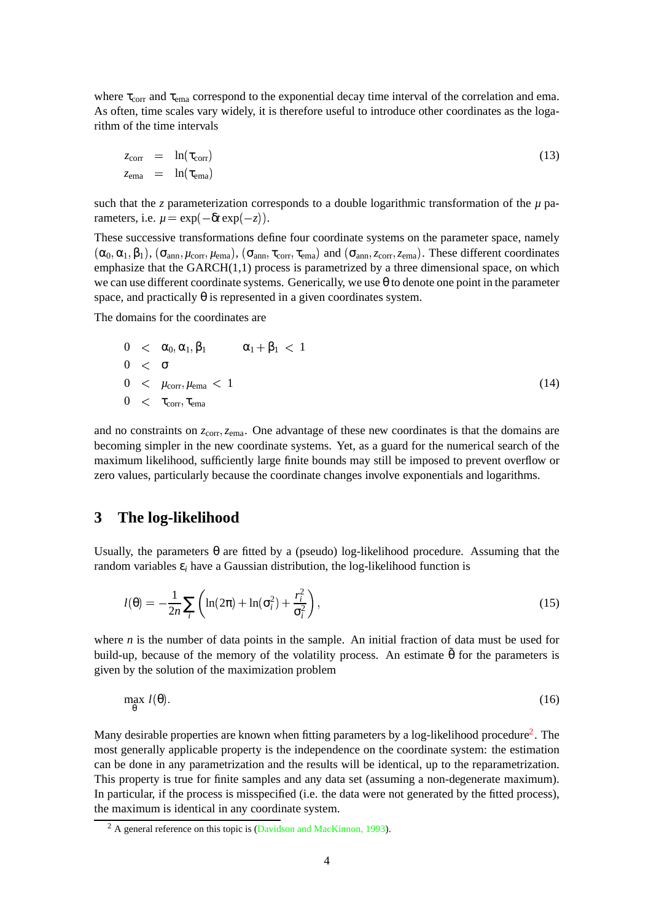where  $\tau_{\text{corr}}$  and  $\tau_{\text{ema}}$  correspond to the exponential decay time interval of the correlation and ema. As often, time scales vary widely, it is therefore useful to introduce other coordinates as the logarithm of the time intervals

$$
z_{\text{corr}} = \ln(\tau_{\text{corr}}) \tag{13}
$$
\n
$$
z_{\text{ema}} = \ln(\tau_{\text{ema}})
$$

such that the *z* parameterization corresponds to a double logarithmic transformation of the *µ* parameters, i.e.  $\mu = \exp(-\delta t \exp(-z)).$ 

These successive transformations define four coordinate systems on the parameter space, namely  $(\alpha_0, \alpha_1, \beta_1)$ ,  $(\sigma_{ann}, \mu_{corr}, \mu_{ema})$ ,  $(\sigma_{ann}, \tau_{corr}, \tau_{ema})$  and  $(\sigma_{ann}, \tau_{corr}, \tau_{ema})$ . These different coordinates emphasize that the  $GARCH(1,1)$  process is parametrized by a three dimensional space, on which we can use different coordinate systems. Generically, we use  $\theta$  to denote one point in the parameter space, and practically  $\theta$  is represented in a given coordinates system.

The domains for the coordinates are

$$
0 < \alpha_0, \alpha_1, \beta_1 \qquad \alpha_1 + \beta_1 < 1
$$
  
\n
$$
0 < \sigma
$$
  
\n
$$
0 < \mu_{\text{corr}}, \mu_{\text{ema}} < 1
$$
  
\n
$$
0 < \tau_{\text{corr}}, \tau_{\text{ema}}
$$
\n(14)

and no constraints on  $z_{\text{corr}}$ ,  $z_{\text{ema}}$ . One advantage of these new coordinates is that the domains are becoming simpler in the new coordinate systems. Yet, as a guard for the numerical search of the maximum likelihood, sufficiently large finite bounds may still be imposed to prevent overflow or zero values, particularly because the coordinate changes involve exponentials and logarithms.

#### <span id="page-3-0"></span>**3 The log-likelihood**

Usually, the parameters  $\theta$  are fitted by a (pseudo) log-likelihood procedure. Assuming that the random variables  $\varepsilon_i$  have a Gaussian distribution, the log-likelihood function is

$$
l(\theta) = -\frac{1}{2n} \sum_{i} \left( \ln(2\pi) + \ln(\sigma_i^2) + \frac{r_i^2}{\sigma_i^2} \right),\tag{15}
$$

where *n* is the number of data points in the sample. An initial fraction of data must be used for build-up, because of the memory of the volatility process. An estimate  $\tilde{\theta}$  for the parameters is given by the solution of the maximization problem

$$
\max_{\theta} \ l(\theta). \tag{16}
$$

Many desirable properties are known when fitting parameters by a log-likelihood procedure<sup>[2](#page-3-1)</sup>. The most generally applicable property is the independence on the coordinate system: the estimation can be done in any parametrization and the results will be identical, up to the reparametrization. This property is true for finite samples and any data set (assuming a non-degenerate maximum). In particular, if the process is misspecified (i.e. the data were not generated by the fitted process), the maximum is identical in any coordinate system.

<span id="page-3-1"></span><sup>&</sup>lt;sup>2</sup> A general reference on this topic is (Davidson and [MacKinnon,](#page-19-5) 1993).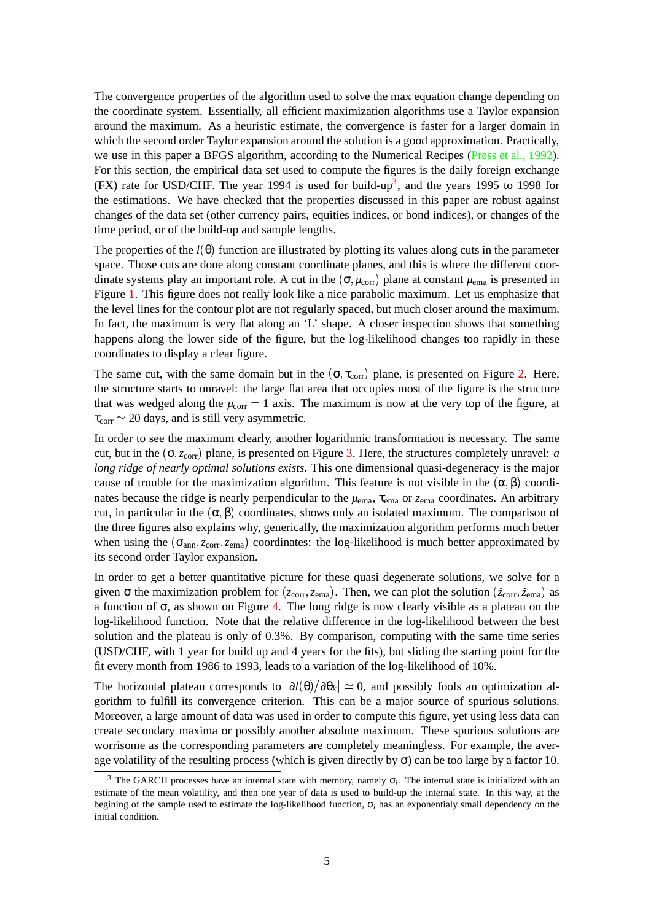The convergence properties of the algorithm used to solve the max equation change depending on the coordinate system. Essentially, all efficient maximization algorithms use a Taylor expansion around the maximum. As a heuristic estimate, the convergence is faster for a larger domain in which the second order Taylor expansion around the solution is a good approximation. Practically, we use in this paper a BFGS algorithm, according to the Numerical Recipes [\(Press](#page-19-6) et al., 1992). For this section, the empirical data set used to compute the figures is the daily foreign exchange (FX) rate for USD/CHF. The year 1994 is used for build-up<sup>[3](#page-4-0)</sup>, and the years 1995 to 1998 for the estimations. We have checked that the properties discussed in this paper are robust against changes of the data set (other currency pairs, equities indices, or bond indices), or changes of the time period, or of the build-up and sample lengths.

The properties of the  $l(\theta)$  function are illustrated by plotting its values along cuts in the parameter space. Those cuts are done along constant coordinate planes, and this is where the different coordinate systems play an important role. A cut in the  $(\sigma, \mu_{\text{corr}})$  plane at constant  $\mu_{\text{ema}}$  is presented in Figure [1.](#page-5-0) This figure does not really look like a nice parabolic maximum. Let us emphasize that the level lines for the contour plot are not regularly spaced, but much closer around the maximum. In fact, the maximum is very flat along an 'L' shape. A closer inspection shows that something happens along the lower side of the figure, but the log-likelihood changes too rapidly in these coordinates to display a clear figure.

The same cut, with the same domain but in the  $(\sigma, \tau_{\text{corr}})$  plane, is presented on Figure [2.](#page-6-0) Here, the structure starts to unravel: the large flat area that occupies most of the figure is the structure that was wedged along the  $\mu_{\text{corr}} = 1$  axis. The maximum is now at the very top of the figure, at  $\tau_{\text{corr}} \simeq 20$  days, and is still very asymmetric.

In order to see the maximum clearly, another logarithmic transformation is necessary. The same cut, but in the  $(\sigma, z_{\text{corr}})$  plane, is presented on Figure [3.](#page-7-0) Here, the structures completely unravel: *a long ridge of nearly optimal solutions exists*. This one dimensional quasi-degeneracy is the major cause of trouble for the maximization algorithm. This feature is not visible in the  $(\alpha, \beta)$  coordinates because the ridge is nearly perpendicular to the  $\mu_{\text{ema}}$ ,  $\tau_{\text{ema}}$  or  $z_{\text{ema}}$  coordinates. An arbitrary cut, in particular in the  $(\alpha, \beta)$  coordinates, shows only an isolated maximum. The comparison of the three figures also explains why, generically, the maximization algorithm performs much better when using the  $(\sigma_{ann}, z_{corr}, z_{ema})$  coordinates: the log-likelihood is much better approximated by its second order Taylor expansion.

In order to get a better quantitative picture for these quasi degenerate solutions, we solve for a given  $\sigma$  the maximization problem for  $(z_{\text{corr}}, z_{\text{ema}})$ . Then, we can plot the solution  $(\tilde{z}_{\text{corr}}, \tilde{z}_{\text{ema}})$  as a function of  $\sigma$ , as shown on Figure [4.](#page-8-1) The long ridge is now clearly visible as a plateau on the log-likelihood function. Note that the relative difference in the log-likelihood between the best solution and the plateau is only of 0.3%. By comparison, computing with the same time series (USD/CHF, with 1 year for build up and 4 years for the fits), but sliding the starting point for the fit every month from 1986 to 1993, leads to a variation of the log-likelihood of 10%.

The horizontal plateau corresponds to  $|\partial l(\theta)/\partial \theta_k| \simeq 0$ , and possibly fools an optimization algorithm to fulfill its convergence criterion. This can be a major source of spurious solutions. Moreover, a large amount of data was used in order to compute this figure, yet using less data can create secondary maxima or possibly another absolute maximum. These spurious solutions are worrisome as the corresponding parameters are completely meaningless. For example, the average volatility of the resulting process (which is given directly by  $\sigma$ ) can be too large by a factor 10.

<span id="page-4-0"></span><sup>&</sup>lt;sup>3</sup> The GARCH processes have an internal state with memory, namely  $\sigma_i$ . The internal state is initialized with an estimate of the mean volatility, and then one year of data is used to build-up the internal state. In this way, at the begining of the sample used to estimate the log-likelihood function, σ*<sup>i</sup>* has an exponentialy small dependency on the initial condition.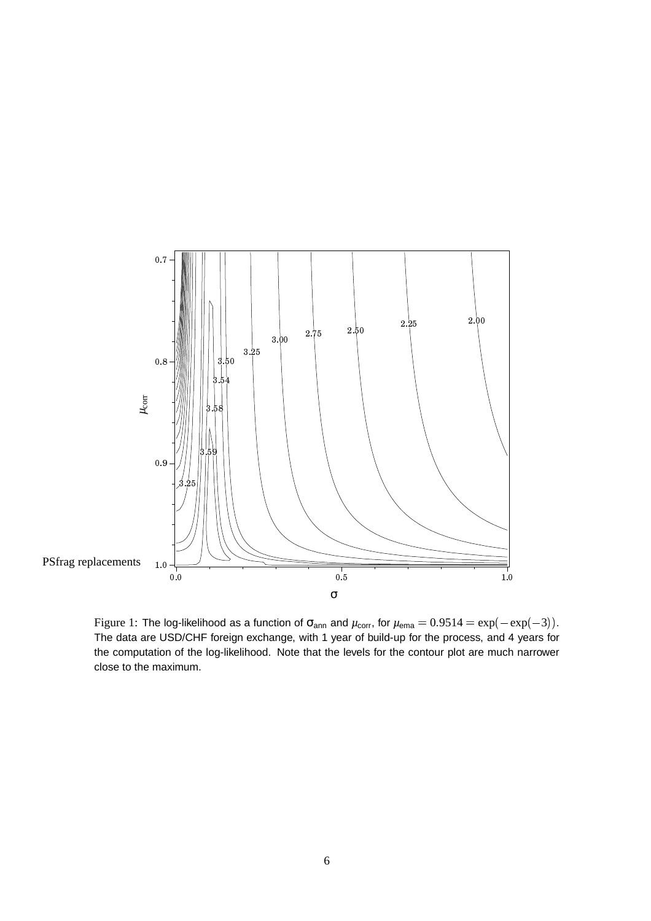

<span id="page-5-0"></span>Figure 1: The log-likelihood as a function of  $\sigma_{\sf ann}$  and  $\mu_{\sf corr}$ , for  $\mu_{\sf ema} = 0.9514 = \exp(-\exp(-3)).$  The data are USD/CHF foreign exchange, with 1 year of build-up for the process, and 4 years for the computation of the log-likelihood. Note that the levels for the contour plot are much narrower close to the maximum.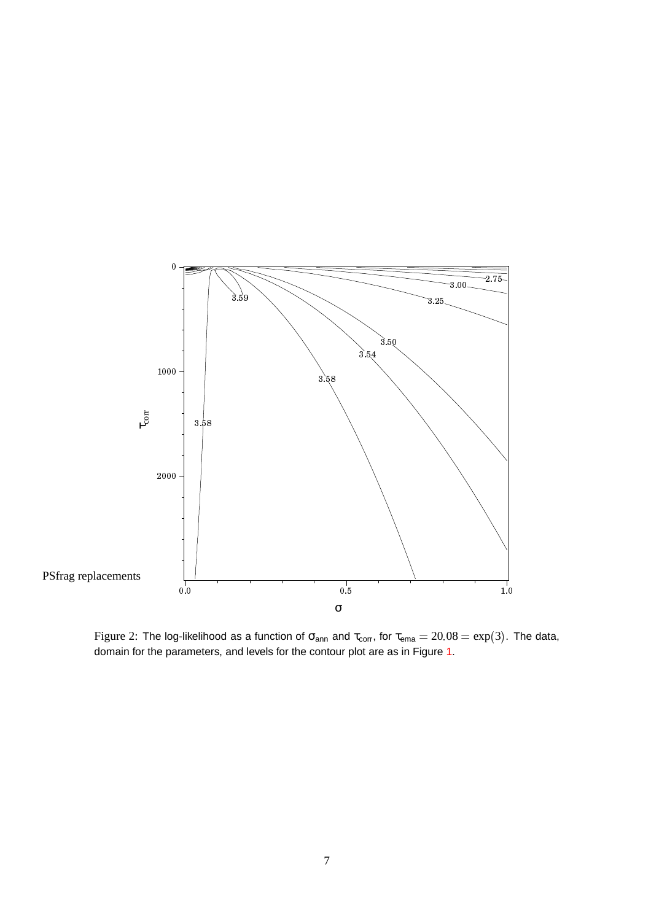

<span id="page-6-0"></span>Figure 2: The log-likelihood as a function of  $\sigma_{\sf ann}$  and  $\tau_{\sf corr}$ , for  $\tau_{\sf ema} = 20.08 = \exp(3)$ . The data, domain for the parameters, and levels for the contour plot are as in Figure [1.](#page-5-0)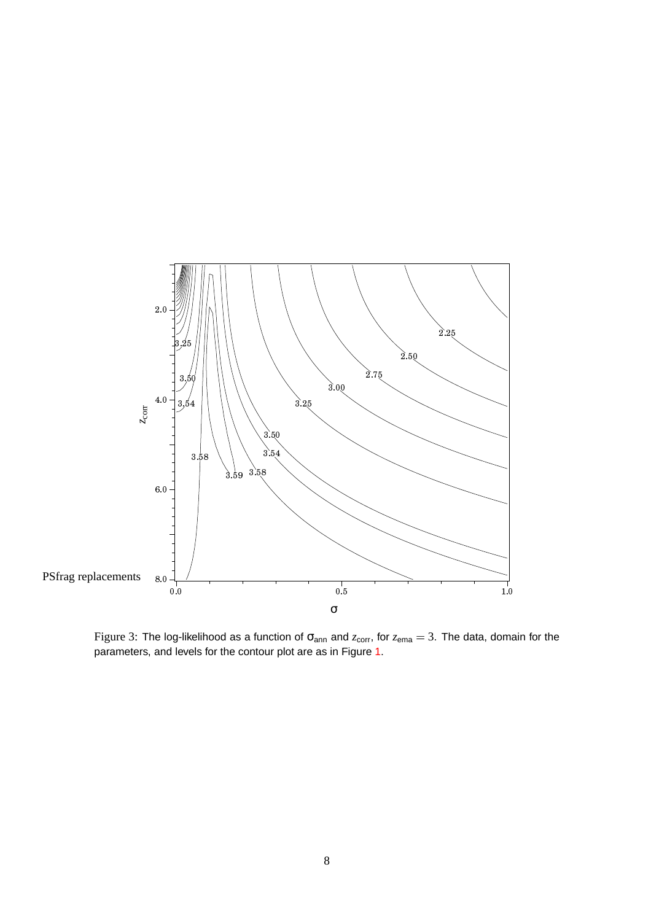

<span id="page-7-0"></span>Figure 3: The log-likelihood as a function of  $\sigma_{ann}$  and  $z_{corr}$ , for  $z_{ema} = 3$ . The data, domain for the parameters, and levels for the contour plot are as in Figure [1.](#page-5-0)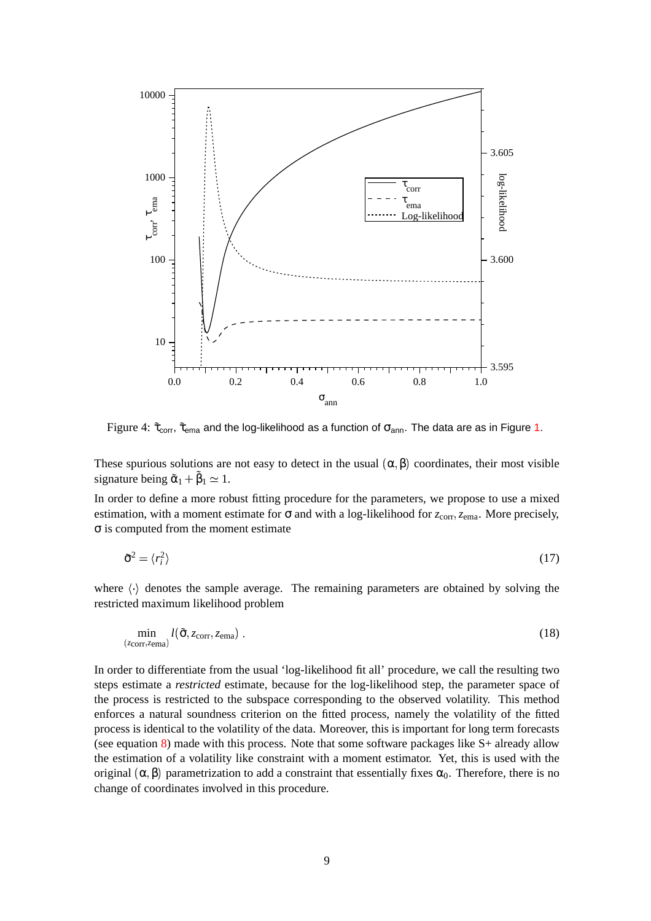

Figure 4:  $\tilde{\tau}_{corr}$ ,  $\tilde{\tau}_{ema}$  and the log-likelihood as a function of  $\sigma_{ann}$ . The data are as in Figure [1.](#page-5-0)

<span id="page-8-1"></span>These spurious solutions are not easy to detect in the usual  $(\alpha, \beta)$  coordinates, their most visible signature being  $\tilde{\alpha}_1 + \tilde{\beta}_1 \simeq 1$ .

In order to define a more robust fitting procedure for the parameters, we propose to use a mixed estimation, with a moment estimate for  $\sigma$  and with a log-likelihood for  $z_{\text{corr}}$ ,  $z_{\text{ema}}$ . More precisely, σ is computed from the moment estimate

$$
\tilde{\sigma}^2 = \langle r_i^2 \rangle \tag{17}
$$

where  $\langle \cdot \rangle$  denotes the sample average. The remaining parameters are obtained by solving the restricted maximum likelihood problem

$$
\min_{(z_{\text{corr}}, z_{\text{ema}})} l(\tilde{\sigma}, z_{\text{corr}}, z_{\text{ema}}) \tag{18}
$$

<span id="page-8-0"></span>In order to differentiate from the usual 'log-likelihood fit all' procedure, we call the resulting two steps estimate a *restricted* estimate, because for the log-likelihood step, the parameter space of the process is restricted to the subspace corresponding to the observed volatility. This method enforces a natural soundness criterion on the fitted process, namely the volatility of the fitted process is identical to the volatility of the data. Moreover, this is important for long term forecasts (see equation [8\)](#page-2-0) made with this process. Note that some software packages like S+ already allow the estimation of a volatility like constraint with a moment estimator. Yet, this is used with the original  $(\alpha, \beta)$  parametrization to add a constraint that essentially fixes  $\alpha_0$ . Therefore, there is no change of coordinates involved in this procedure.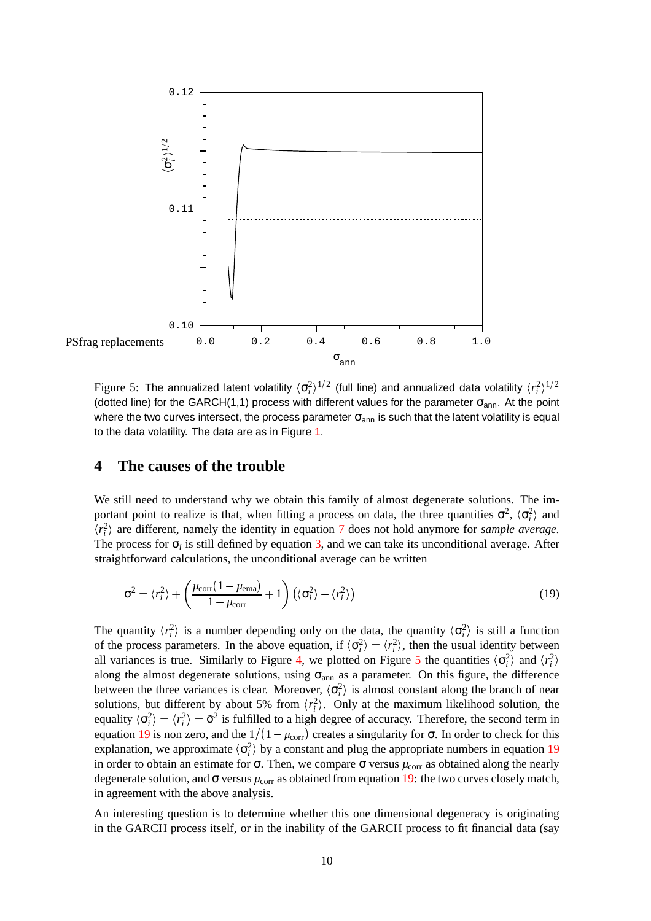

<span id="page-9-1"></span>Figure 5: The annualized latent volatility  $\langle \sigma_i^2 \rangle^{1/2}$  (full line) and annualized data volatility  $\langle r_i^2 \rangle^{1/2}$ (dotted line) for the GARCH(1,1) process with different values for the parameter  $\sigma_{ann}$ . At the point where the two curves intersect, the process parameter  $\sigma_{ann}$  is such that the latent volatility is equal to the data volatility. The data are as in Figure [1.](#page-5-0)

#### **4 The causes of the trouble**

We still need to understand why we obtain this family of almost degenerate solutions. The important point to realize is that, when fitting a process on data, the three quantities  $\sigma^2$ ,  $\langle \sigma_i^2 \rangle$  and  $\langle r_i^2 \rangle$  are different, namely the identity in equation [7](#page-2-0) does not hold anymore for *sample average*. The process for  $\sigma_i$  is still defined by equation [3,](#page-2-1) and we can take its unconditional average. After straightforward calculations, the unconditional average can be written

<span id="page-9-0"></span>
$$
\sigma^2 = \langle r_i^2 \rangle + \left( \frac{\mu_{\text{corr}} (1 - \mu_{\text{ema}})}{1 - \mu_{\text{corr}}} + 1 \right) \left( \langle \sigma_i^2 \rangle - \langle r_i^2 \rangle \right) \tag{19}
$$

The quantity  $\langle r_i^2 \rangle$  is a number depending only on the data, the quantity  $\langle \sigma_i^2 \rangle$  is still a function of the process parameters. In the above equation, if  $\langle \sigma_i^2 \rangle = \langle r_i^2 \rangle$ , then the usual identity between all variances is true. Similarly to Figure [4,](#page-8-1) we plotted on Figure [5](#page-9-1) the quantities  $\langle \sigma_i^2 \rangle$  and  $\langle r_i^2 \rangle$ along the almost degenerate solutions, using  $\sigma_{ann}$  as a parameter. On this figure, the difference between the three variances is clear. Moreover,  $\langle \sigma_i^2 \rangle$  is almost constant along the branch of near solutions, but different by about 5% from  $\langle r_i^2 \rangle$ . Only at the maximum likelihood solution, the equality  $\langle \sigma_i^2 \rangle = \langle r_i^2 \rangle = \tilde{\sigma}^2$  is fulfilled to a high degree of accuracy. Therefore, the second term in equation [19](#page-9-0) is non zero, and the  $1/(1 - \mu_{\text{corr}})$  creates a singularity for  $\sigma$ . In order to check for this explanation, we approximate  $\langle \sigma_i^2 \rangle$  by a constant and plug the appropriate numbers in equation [19](#page-9-0) in order to obtain an estimate for  $\sigma$ . Then, we compare  $\sigma$  versus  $\mu_{\text{corr}}$  as obtained along the nearly degenerate solution, and  $\sigma$  versus  $\mu_{\text{corr}}$  as obtained from equation [19:](#page-9-0) the two curves closely match, in agreement with the above analysis.

An interesting question is to determine whether this one dimensional degeneracy is originating in the GARCH process itself, or in the inability of the GARCH process to fit financial data (say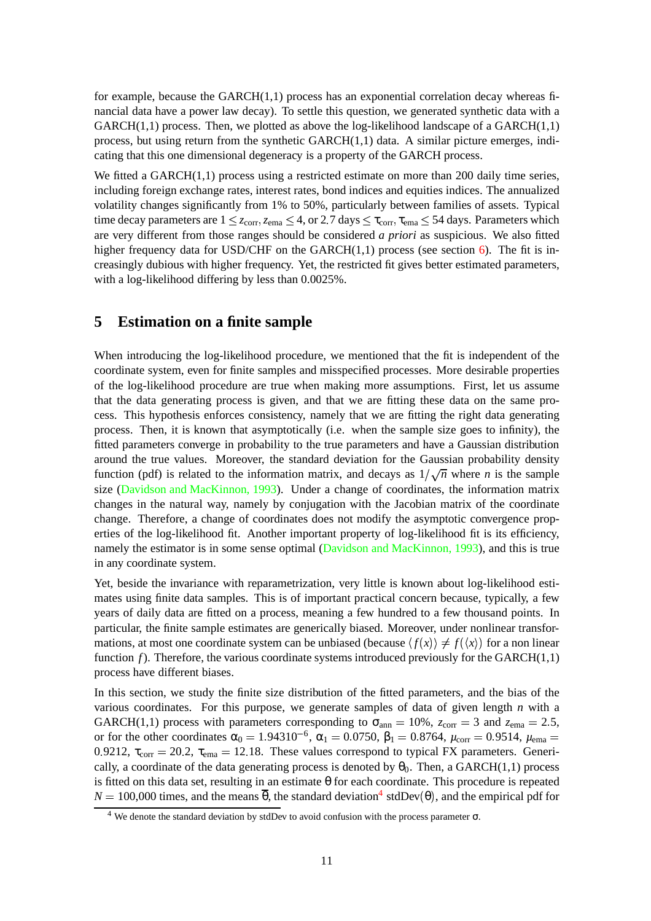for example, because the  $GARCH(1,1)$  process has an exponential correlation decay whereas financial data have a power law decay). To settle this question, we generated synthetic data with a GARCH $(1,1)$  process. Then, we plotted as above the log-likelihood landscape of a GARCH $(1,1)$ process, but using return from the synthetic GARCH(1,1) data. A similar picture emerges, indicating that this one dimensional degeneracy is a property of the GARCH process.

We fitted a GARCH(1,1) process using a restricted estimate on more than 200 daily time series, including foreign exchange rates, interest rates, bond indices and equities indices. The annualized volatility changes significantly from 1% to 50%, particularly between families of assets. Typical time decay parameters are  $1 \le z_{\text{corr}}$ ,  $z_{\text{ema}} \le 4$ , or 2.7 days  $\le \tau_{\text{corr}}$ ,  $\tau_{\text{ema}} \le 54$  days. Parameters which are very different from those ranges should be considered *a priori* as suspicious. We also fitted higher frequency data for USD/CHF on the GARCH $(1,1)$  process (see section [6\)](#page-11-0). The fit is increasingly dubious with higher frequency. Yet, the restricted fit gives better estimated parameters, with a log-likelihood differing by less than 0.0025%.

#### <span id="page-10-0"></span>**5 Estimation on a finite sample**

When introducing the log-likelihood procedure, we mentioned that the fit is independent of the coordinate system, even for finite samples and misspecified processes. More desirable properties of the log-likelihood procedure are true when making more assumptions. First, let us assume that the data generating process is given, and that we are fitting these data on the same process. This hypothesis enforces consistency, namely that we are fitting the right data generating process. Then, it is known that asymptotically (i.e. when the sample size goes to infinity), the fitted parameters converge in probability to the true parameters and have a Gaussian distribution around the true values. Moreover, the standard deviation for the Gaussian probability density function (pdf) is related to the information matrix, and decays as  $1/\sqrt{n}$  where *n* is the sample size (Davidson and [MacKinnon,](#page-19-5) 1993). Under a change of coordinates, the information matrix changes in the natural way, namely by conjugation with the Jacobian matrix of the coordinate change. Therefore, a change of coordinates does not modify the asymptotic convergence properties of the log-likelihood fit. Another important property of log-likelihood fit is its efficiency, namely the estimator is in some sense optimal (Davidson and [MacKinnon,](#page-19-5) 1993), and this is true in any coordinate system.

Yet, beside the invariance with reparametrization, very little is known about log-likelihood estimates using finite data samples. This is of important practical concern because, typically, a few years of daily data are fitted on a process, meaning a few hundred to a few thousand points. In particular, the finite sample estimates are generically biased. Moreover, under nonlinear transformations, at most one coordinate system can be unbiased (because  $\langle f(x) \rangle \neq f(\langle x \rangle)$  for a non linear 1 function  $f$ ). Therefore, the various coordinate systems introduced previously for the GARCH $(1,1)$ process have different biases.

In this section, we study the finite size distribution of the fitted parameters, and the bias of the various coordinates. For this purpose, we generate samples of data of given length *n* with a GARCH(1,1) process with parameters corresponding to  $\sigma_{\text{ann}} = 10\%$ ,  $z_{\text{corr}} = 3$  and  $z_{\text{ema}} = 2.5$ , or for the other coordinates  $\alpha_0 = 1.94310^{-6}$ ,  $\alpha_1 = 0.0750$ ,  $\beta_1 = 0.8764$ ,  $\mu_{corr} = 0.9514$ ,  $\mu_{ema} =$ 0.9212,  $\tau_{corr} = 20.2$ ,  $\tau_{ema} = 12.18$ . These values correspond to typical FX parameters. Generically, a coordinate of the data generating process is denoted by  $\theta_0$ . Then, a GARCH(1,1) process is fitted on this data set, resulting in an estimate  $\theta$  for each coordinate. This procedure is repeated  $N = 100,000$  times, and the means  $\overline{\theta}$ , the standard deviation<sup>[4](#page-10-1)</sup> stdDev( $\theta$ ), and the empirical pdf for

<span id="page-10-1"></span><sup>4</sup> We denote the standard deviation by stdDev to avoid confusion with the process parameter σ.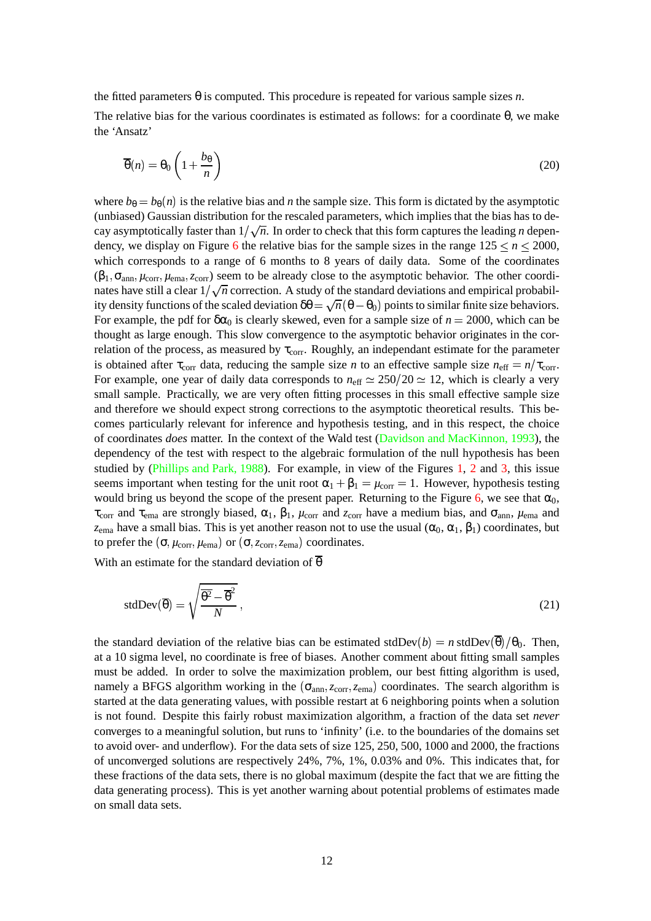the fitted parameters  $\theta$  is computed. This procedure is repeated for various sample sizes *n*.

The relative bias for the various coordinates is estimated as follows: for a coordinate  $\theta$ , we make the 'Ansatz'

$$
\overline{\theta}(n) = \theta_0 \left( 1 + \frac{b_\theta}{n} \right) \tag{20}
$$

where  $b_{\theta} = b_{\theta}(n)$  is the relative bias and *n* the sample size. This form is dictated by the asymptotic (unbiased) Gaussian distribution for the rescaled parameters, which implies that the bias has to decay asymptotically faster than  $1/\sqrt{n}$ . In order to check that this form captures the leading *n* depen-dency, we display on Figure [6](#page-12-0) the relative bias for the sample sizes in the range  $125 \le n \le 2000$ , which corresponds to a range of 6 months to 8 years of daily data. Some of the coordinates  $(\beta_1, \sigma_{ann}, \mu_{corr}, \mu_{ema}, z_{corr})$  seem to be already close to the asymptotic behavior. The other coordinates have still a clear  $1/\sqrt{n}$  correction. A study of the standard deviations and empirical probability density functions of the scaled deviation  $\delta\theta = \sqrt{n} (\theta - \theta_0)$  points to similar finite size behaviors. For example, the pdf for  $\delta\alpha_0$  is clearly skewed, even for a sample size of  $n = 2000$ , which can be thought as large enough. This slow convergence to the asymptotic behavior originates in the correlation of the process, as measured by  $\tau_{\text{corr}}$ . Roughly, an independant estimate for the parameter is obtained after  $\tau_{\text{corr}}$  data, reducing the sample size *n* to an effective sample size  $n_{\text{eff}} = n/\tau_{\text{corr}}$ . For example, one year of daily data corresponds to  $n_{\text{eff}} \simeq 250/20 \simeq 12$ , which is clearly a very small sample. Practically, we are very often fitting processes in this small effective sample size and therefore we should expect strong corrections to the asymptotic theoretical results. This becomes particularly relevant for inference and hypothesis testing, and in this respect, the choice of coordinates *does* matter. In the context of the Wald test (Davidson and [MacKinnon,](#page-19-5) 1993), the dependency of the test with respect to the algebraic formulation of the null hypothesis has been studied by [\(Phillips](#page-19-7) and Park, 1988). For example, in view of the Figures [1,](#page-5-0) [2](#page-6-0) and [3,](#page-7-0) this issue seems important when testing for the unit root  $\alpha_1 + \beta_1 = \mu_{\text{corr}} = 1$ . However, hypothesis testing would bring us beyond the scope of the present paper. Returning to the Figure [6,](#page-12-0) we see that  $\alpha_0$ ,  $τ_{corr}$  and  $τ_{ema}$  are strongly biased,  $α_1$ ,  $β_1$ ,  $μ_{corr}$  and  $z_{corr}$  have a medium bias, and  $σ_{ann}$ ,  $μ_{ema}$  and  $z_{\text{ema}}$  have a small bias. This is yet another reason not to use the usual  $(\alpha_0, \alpha_1, \beta_1)$  coordinates, but to prefer the  $(\sigma, \mu_{\text{corr}}, \mu_{\text{ema}})$  or  $(\sigma, z_{\text{corr}}, z_{\text{ema}})$  coordinates.

With an estimate for the standard deviation of  $\overline{\theta}$ 

stdDev(
$$
\overline{\theta}
$$
) =  $\sqrt{\frac{\overline{\theta^2} - \overline{\theta}^2}{N}}$ , (21)

<span id="page-11-0"></span>the standard deviation of the relative bias can be estimated stdDev $(b) = n$  stdDev $(\overline{\theta})/\theta_0$ . Then, at a 10 sigma level, no coordinate is free of biases. Another comment about fitting small samples must be added. In order to solve the maximization problem, our best fitting algorithm is used, namely a BFGS algorithm working in the  $(\sigma_{ann}, z_{corr}, z_{ema})$  coordinates. The search algorithm is started at the data generating values, with possible restart at 6 neighboring points when a solution is not found. Despite this fairly robust maximization algorithm, a fraction of the data set *never* converges to a meaningful solution, but runs to 'infinity' (i.e. to the boundaries of the domains set to avoid over- and underflow). For the data sets of size 125, 250, 500, 1000 and 2000, the fractions of unconverged solutions are respectively 24%, 7%, 1%, 0.03% and 0%. This indicates that, for these fractions of the data sets, there is no global maximum (despite the fact that we are fitting the data generating process). This is yet another warning about potential problems of estimates made on small data sets.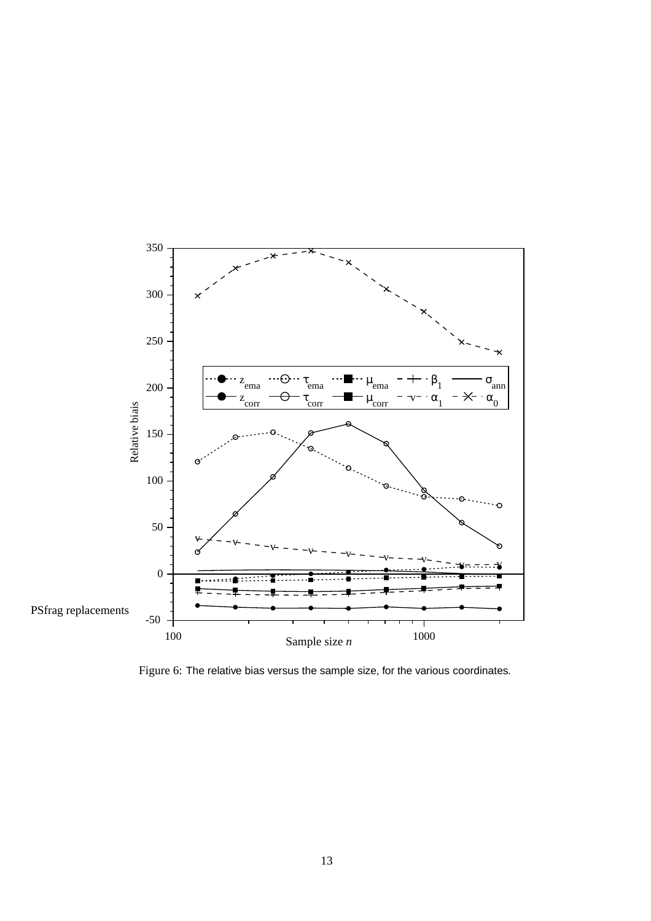

<span id="page-12-0"></span>Figure 6: The relative bias versus the sample size, for the various coordinates.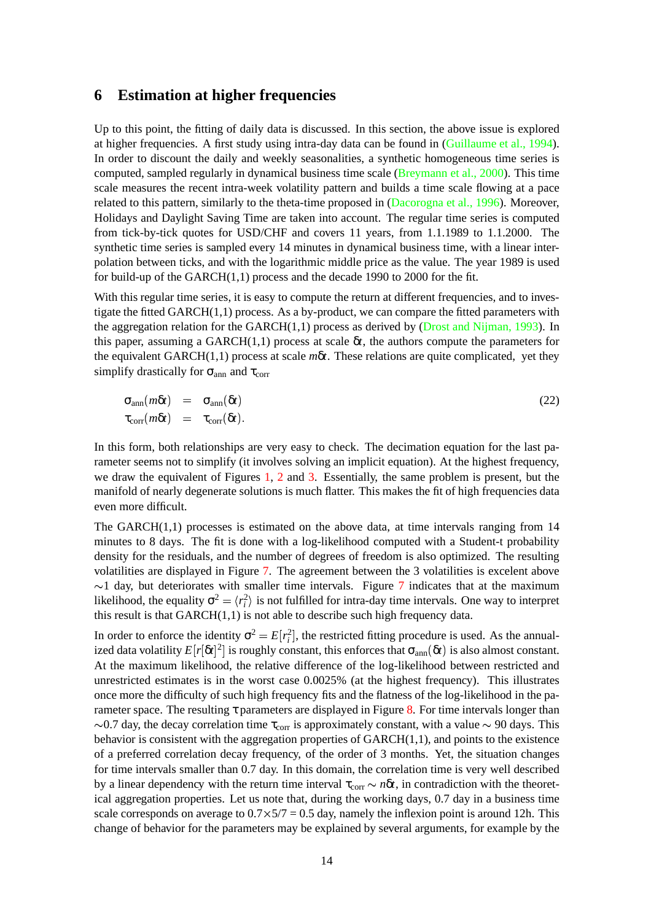#### **6 Estimation at higher frequencies**

Up to this point, the fitting of daily data is discussed. In this section, the above issue is explored at higher frequencies. A first study using intra-day data can be found in [\(Guillaume](#page-19-11) et al., 1994). In order to discount the daily and weekly seasonalities, a synthetic homogeneous time series is computed, sampled regularly in dynamical business time scale [\(Breymann](#page-19-10) et al., 2000). This time scale measures the recent intra-week volatility pattern and builds a time scale flowing at a pace related to this pattern, similarly to the theta-time proposed in [\(Dacorogna](#page-19-9) et al., 1996). Moreover, Holidays and Daylight Saving Time are taken into account. The regular time series is computed from tick-by-tick quotes for USD/CHF and covers 11 years, from 1.1.1989 to 1.1.2000. The synthetic time series is sampled every 14 minutes in dynamical business time, with a linear interpolation between ticks, and with the logarithmic middle price as the value. The year 1989 is used for build-up of the GARCH(1,1) process and the decade 1990 to 2000 for the fit.

With this regular time series, it is easy to compute the return at different frequencies, and to investigate the fitted  $GARCH(1,1)$  process. As a by-product, we can compare the fitted parameters with the aggregation relation for the GARCH $(1,1)$  process as derived by (Drost and [Nijman,](#page-19-8) 1993). In this paper, assuming a GARCH $(1,1)$  process at scale  $\delta t$ , the authors compute the parameters for the equivalent GARCH(1,1) process at scale *m*δ*t*. These relations are quite complicated, yet they simplify drastically for  $\sigma_{\text{ann}}$  and  $\tau_{\text{corr}}$ 

$$
\begin{array}{rcl}\n\sigma_{\rm ann}(m\delta t) & = & \sigma_{\rm ann}(\delta t) \\
\tau_{\rm corr}(m\delta t) & = & \tau_{\rm corr}(\delta t).\n\end{array} \tag{22}
$$

In this form, both relationships are very easy to check. The decimation equation for the last parameter seems not to simplify (it involves solving an implicit equation). At the highest frequency, we draw the equivalent of Figures [1,](#page-5-0) [2](#page-6-0) and [3.](#page-7-0) Essentially, the same problem is present, but the manifold of nearly degenerate solutions is much flatter. This makes the fit of high frequencies data even more difficult.

The GARCH $(1,1)$  processes is estimated on the above data, at time intervals ranging from 14 minutes to 8 days. The fit is done with a log-likelihood computed with a Student-t probability density for the residuals, and the number of degrees of freedom is also optimized. The resulting volatilities are displayed in Figure [7.](#page-14-1) The agreement between the 3 volatilities is excelent above  $\sim$ 1 day, but deteriorates with smaller time intervals. Figure [7](#page-14-1) indicates that at the maximum likelihood, the equality  $\sigma^2 = \langle r_i^2 \rangle$  is not fulfilled for intra-day time intervals. One way to interpret this result is that GARCH(1,1) is not able to describe such high frequency data.

In order to enforce the identity  $\sigma^2 = E[r_i^2]$ , the restricted fitting procedure is used. As the annualized data volatility  $E[r[\delta t]^2]$  is roughly constant, this enforces that  $\sigma_{ann}(\delta t)$  is also almost constant. At the maximum likelihood, the relative difference of the log-likelihood between restricted and unrestricted estimates is in the worst case 0.0025% (at the highest frequency). This illustrates once more the difficulty of such high frequency fits and the flatness of the log-likelihood in the parameter space. The resulting  $\tau$  parameters are displayed in Figure [8.](#page-15-0) For time intervals longer than  $\sim$ 0.7 day, the decay correlation time  $\tau_{\text{corr}}$  is approximately constant, with a value  $\sim$  90 days. This behavior is consistent with the aggregation properties of  $GARCH(1,1)$ , and points to the existence of a preferred correlation decay frequency, of the order of 3 months. Yet, the situation changes for time intervals smaller than 0.7 day. In this domain, the correlation time is very well described by a linear dependency with the return time interval  $\tau_{corr} \sim n\delta t$ , in contradiction with the theoretical aggregation properties. Let us note that, during the working days, 0.7 day in a business time scale corresponds on average to  $0.7 \times 5/7 = 0.5$  day, namely the inflexion point is around 12h. This change of behavior for the parameters may be explained by several arguments, for example by the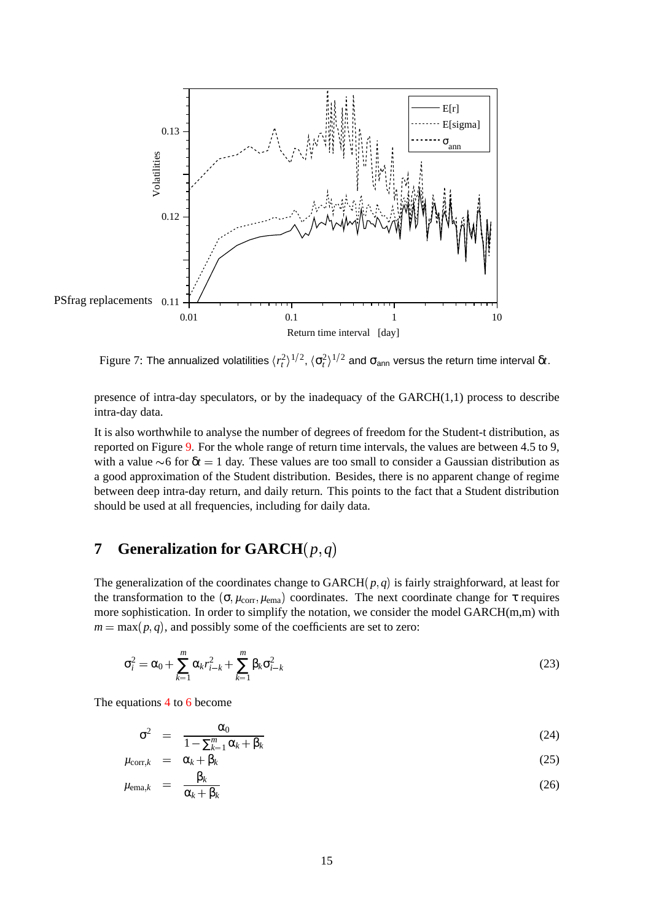

<span id="page-14-1"></span>Figure 7: The annualized volatilities  $\langle r^2_t \rangle^{1/2}$ ,  $\langle \sigma^2_t \rangle^{1/2}$  and  $\sigma_{\sf ann}$  versus the return time interval δ*t*.

presence of intra-day speculators, or by the inadequacy of the GARCH(1,1) process to describe intra-day data.

It is also worthwhile to analyse the number of degrees of freedom for the Student-t distribution, as reported on Figure [9.](#page-15-1) For the whole range of return time intervals, the values are between 4.5 to 9, with a value  $\sim$ 6 for  $\delta t$  = 1 day. These values are too small to consider a Gaussian distribution as a good approximation of the Student distribution. Besides, there is no apparent change of regime between deep intra-day return, and daily return. This points to the fact that a Student distribution should be used at all frequencies, including for daily data.

# <span id="page-14-0"></span>**7 Generalization for GARCH** $(p,q)$

The generalization of the coordinates change to  $GARCH(p, q)$  is fairly straighforward, at least for the transformation to the  $(\sigma, \mu_{\text{corr}}, \mu_{\text{ema}})$  coordinates. The next coordinate change for  $\tau$  requires more sophistication. In order to simplify the notation, we consider the model GARCH(m,m) with  $m = \max(p, q)$ , and possibly some of the coefficients are set to zero:

$$
\sigma_i^2 = \alpha_0 + \sum_{k=1}^m \alpha_k r_{i-k}^2 + \sum_{k=1}^m \beta_k \sigma_{i-k}^2
$$
\n(23)

The equations [4](#page-2-2) to [6](#page-2-2) become

$$
\sigma^2 = \frac{\alpha_0}{1 - \sum_{k=1}^m \alpha_k + \beta_k} \tag{24}
$$

$$
\mu_{\text{corr},k} = \alpha_k + \beta_k \tag{25}
$$
\n
$$
\beta_k \tag{26}
$$

$$
\mu_{\text{ema},k} = \frac{\beta_k}{\alpha_k + \beta_k} \tag{26}
$$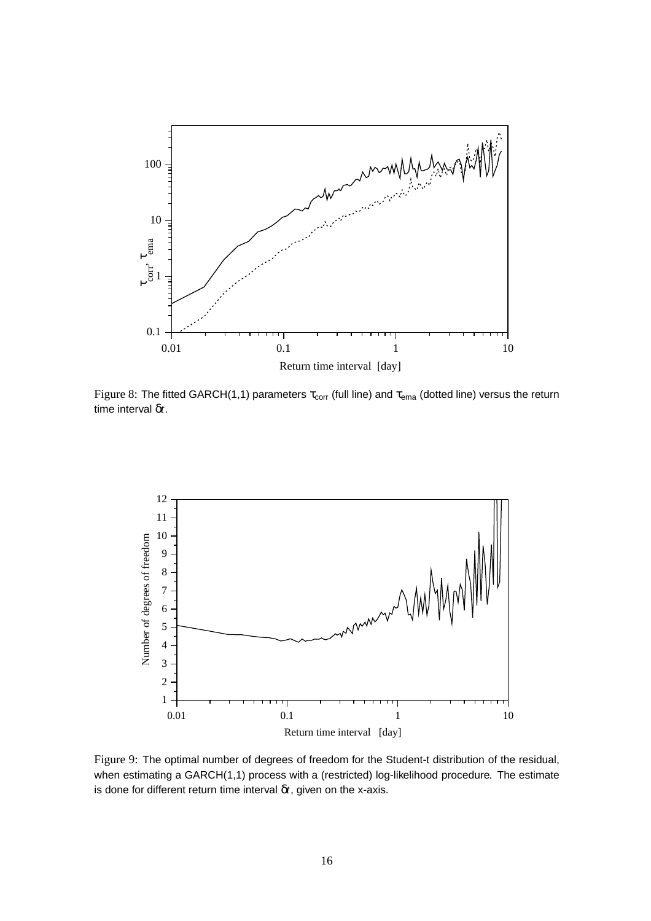

<span id="page-15-0"></span>Figure 8: The fitted GARCH(1,1) parameters  $\tau_{corr}$  (full line) and  $\tau_{ema}$  (dotted line) versus the return time interval δ*t*.



<span id="page-15-1"></span>Figure 9: The optimal number of degrees of freedom for the Student-t distribution of the residual, when estimating a GARCH(1,1) process with a (restricted) log-likelihood procedure. The estimate is done for different return time interval δ*t*, given on the x-axis.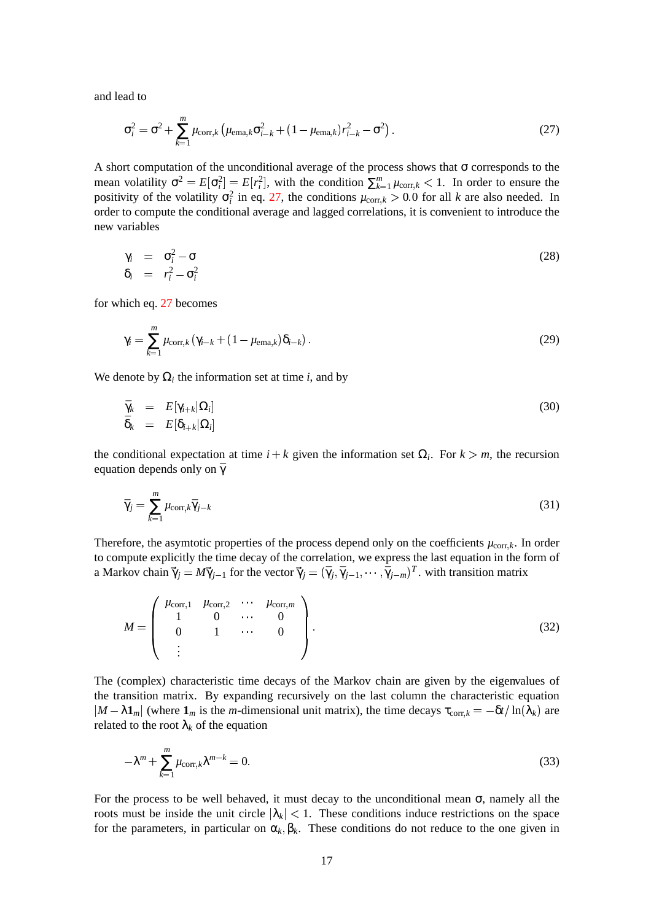<span id="page-16-0"></span>and lead to

$$
\sigma_i^2 = \sigma^2 + \sum_{k=1}^m \mu_{\text{corr},k} \left( \mu_{\text{ema},k} \sigma_{i-k}^2 + (1 - \mu_{\text{ema},k}) r_{i-k}^2 - \sigma^2 \right).
$$
 (27)

A short computation of the unconditional average of the process shows that  $\sigma$  corresponds to the mean volatility  $\sigma^2 = E[\sigma_i^2] = E[r_i^2]$ , with the condition  $\sum_{k=1}^m \mu_{\text{corr},k} < 1$ . In order to ensure the positivity of the volatility  $\sigma_i^2$  in eq. [27,](#page-16-0) the conditions  $\mu_{\text{corr},k} > 0.0$  for all *k* are also needed. In order to compute the conditional average and lagged correlations, it is convenient to introduce the new variables

$$
\gamma_i = \sigma_i^2 - \sigma
$$
  
\n
$$
\delta_i = r_i^2 - \sigma_i^2
$$
\n(28)

for which eq. [27](#page-16-0) becomes

$$
\gamma_i = \sum_{k=1}^m \mu_{\text{corr},k} \left( \gamma_{i-k} + (1 - \mu_{\text{ema},k}) \delta_{i-k} \right). \tag{29}
$$

We denote by  $\Omega_i$  the information set at time *i*, and by

$$
\begin{array}{rcl}\n\bar{\gamma}_k & = & E[\gamma_{i+k}|\Omega_i] \\
\bar{\delta}_k & = & E[\delta_{i+k}|\Omega_i]\n\end{array} \tag{30}
$$

the conditional expectation at time  $i + k$  given the information set  $\Omega_i$ . For  $k > m$ , the recursion equation depends only on  $\bar{\gamma}$ 

$$
\bar{\gamma}_j = \sum_{k=1}^m \mu_{\text{corr},k} \bar{\gamma}_{j-k} \tag{31}
$$

Therefore, the asymtotic properties of the process depend only on the coefficients  $\mu_{\text{corr},k}$ . In order to compute explicitly the time decay of the correlation, we express the last equation in the form of a Markov chain  $\vec{\gamma}_j = M\vec{\gamma}_{j-1}$  for the vector  $\vec{\gamma}_j = (\bar{\gamma}_j, \bar{\gamma}_{j-1}, \cdots, \bar{\gamma}_{j-m})^T$ . with transition matrix

$$
M = \begin{pmatrix} \mu_{\text{corr},1} & \mu_{\text{corr},2} & \cdots & \mu_{\text{corr},m} \\ 1 & 0 & \cdots & 0 \\ 0 & 1 & \cdots & 0 \\ \vdots & \cdots & \cdots & \cdots \end{pmatrix}.
$$
 (32)

The (complex) characteristic time decays of the Markov chain are given by the eigenvalues of the transition matrix. By expanding recursively on the last column the characteristic equation  $|M - \lambda \mathbf{1}_m|$  (where  $\mathbf{1}_m$  is the *m*-dimensional unit matrix), the time decays  $\tau_{\text{corr},k} = -\delta t / \ln(\lambda_k)$  are related to the root  $\lambda_k$  of the equation

<span id="page-16-1"></span>
$$
-\lambda^m + \sum_{k=1}^m \mu_{\text{corr},k} \lambda^{m-k} = 0.
$$
\n(33)

For the process to be well behaved, it must decay to the unconditional mean  $\sigma$ , namely all the roots must be inside the unit circle  $|\lambda_k| < 1$ . These conditions induce restrictions on the space for the parameters, in particular on  $\alpha_k, \beta_k$ . These conditions do not reduce to the one given in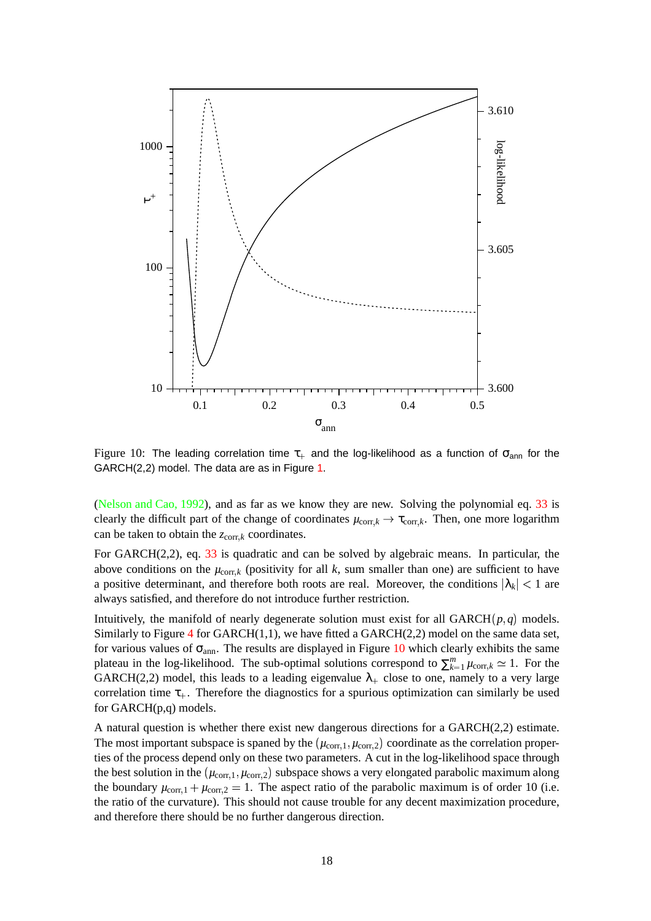

<span id="page-17-0"></span>Figure 10: The leading correlation time  $\tau_{+}$  and the log-likelihood as a function of  $\sigma_{ann}$  for the GARCH(2,2) model. The data are as in Figure [1.](#page-5-0)

[\(Nelson](#page-19-12) and Cao, 1992), and as far as we know they are new. Solving the polynomial eq. [33](#page-16-1) is clearly the difficult part of the change of coordinates  $\mu_{\text{corr},k} \to \tau_{\text{corr},k}$ . Then, one more logarithm can be taken to obtain the  $z_{\text{corr},k}$  coordinates.

For GARCH(2,2), eq. [33](#page-16-1) is quadratic and can be solved by algebraic means. In particular, the above conditions on the  $\mu_{\text{corr},k}$  (positivity for all k, sum smaller than one) are sufficient to have a positive determinant, and therefore both roots are real. Moreover, the conditions  $|\lambda_k| < 1$  are always satisfied, and therefore do not introduce further restriction.

Intuitively, the manifold of nearly degenerate solution must exist for all GARCH $(p, q)$  models. Similarly to Figure [4](#page-8-1) for GARCH $(1,1)$ , we have fitted a GARCH $(2,2)$  model on the same data set, for various values of  $\sigma_{ann}$ . The results are displayed in Figure [10](#page-17-0) which clearly exhibits the same plateau in the log-likelihood. The sub-optimal solutions correspond to  $\sum_{k=1}^{m} \mu_{\text{corr},k} \simeq 1$ . For the GARCH(2,2) model, this leads to a leading eigenvalue  $\lambda_+$  close to one, namely to a very large correlation time  $\tau_{+}$ . Therefore the diagnostics for a spurious optimization can similarly be used for GARCH(p,q) models.

A natural question is whether there exist new dangerous directions for a GARCH(2,2) estimate. The most important subspace is spaned by the  $(\mu_{\text{corr},1}, \mu_{\text{corr},2})$  coordinate as the correlation properties of the process depend only on these two parameters. A cut in the log-likelihood space through the best solution in the  $(\mu_{\text{corr},1}, \mu_{\text{corr},2})$  subspace shows a very elongated parabolic maximum along the boundary  $\mu_{\text{corr},1} + \mu_{\text{corr},2} = 1$ . The aspect ratio of the parabolic maximum is of order 10 (i.e. the ratio of the curvature). This should not cause trouble for any decent maximization procedure, and therefore there should be no further dangerous direction.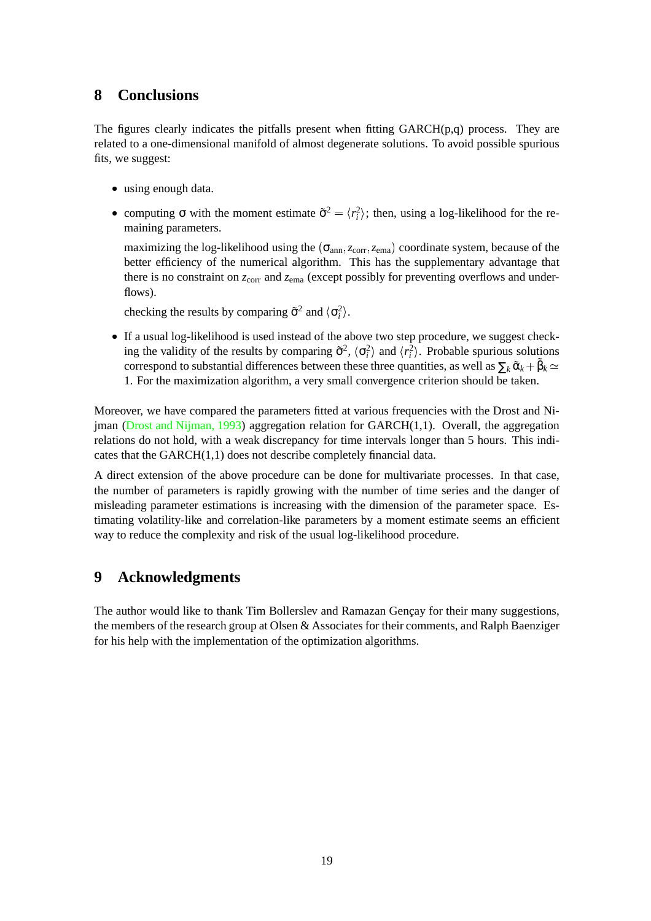## **8 Conclusions**

The figures clearly indicates the pitfalls present when fitting GARCH(p,q) process. They are related to a one-dimensional manifold of almost degenerate solutions. To avoid possible spurious fits, we suggest:

- using enough data.
- computing  $\sigma$  with the moment estimate  $\tilde{\sigma}^2 = \langle r_i^2 \rangle$ ; then, using a log-likelihood for the remaining parameters.

maximizing the log-likelihood using the  $(\sigma_{ann}, z_{corr}, z_{ema})$  coordinate system, because of the better efficiency of the numerical algorithm. This has the supplementary advantage that there is no constraint on  $z_{\text{corr}}$  and  $z_{\text{ema}}$  (except possibly for preventing overflows and underflows).

checking the results by comparing  $\tilde{\sigma}^2$  and  $\langle \sigma_i^2 \rangle$ .

• If a usual log-likelihood is used instead of the above two step procedure, we suggest checking the validity of the results by comparing  $\tilde{\sigma}^2$ ,  $\langle \sigma_i^2 \rangle$  and  $\langle r_i^2 \rangle$ . Probable spurious solutions correspond to substantial differences between these three quantities, as well as  $\sum_k \tilde{\alpha}_k + \tilde{\beta}_k \simeq$ 1. For the maximization algorithm, a very small convergence criterion should be taken.

Moreover, we have compared the parameters fitted at various frequencies with the Drost and Ni-jman (Drost and [Nijman,](#page-19-8) 1993) aggregation relation for GARCH $(1,1)$ . Overall, the aggregation relations do not hold, with a weak discrepancy for time intervals longer than 5 hours. This indicates that the GARCH(1,1) does not describe completely financial data.

A direct extension of the above procedure can be done for multivariate processes. In that case, the number of parameters is rapidly growing with the number of time series and the danger of misleading parameter estimations is increasing with the dimension of the parameter space. Estimating volatility-like and correlation-like parameters by a moment estimate seems an efficient way to reduce the complexity and risk of the usual log-likelihood procedure.

### **9 Acknowledgments**

The author would like to thank Tim Bollerslev and Ramazan Gencay for their many suggestions, the members of the research group at Olsen & Associates for their comments, and Ralph Baenziger for his help with the implementation of the optimization algorithms.